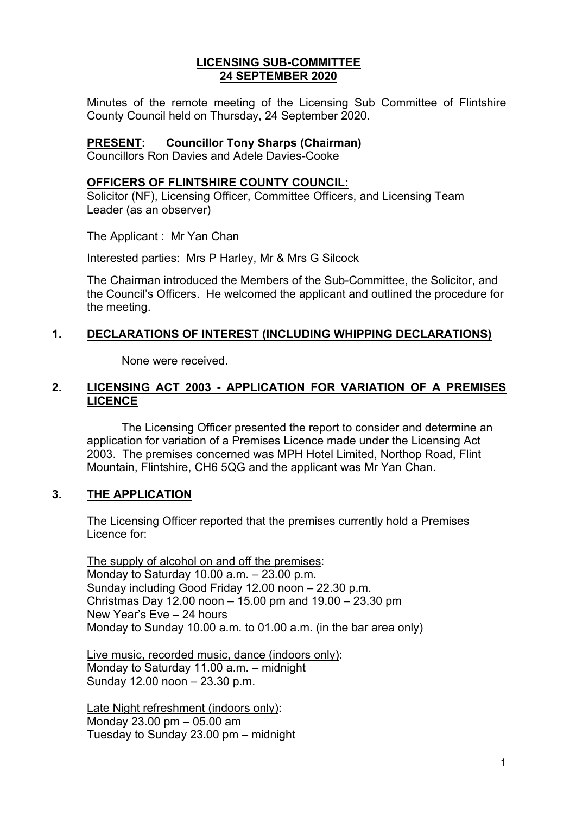### **LICENSING SUB-COMMITTEE 24 SEPTEMBER 2020**

Minutes of the remote meeting of the Licensing Sub Committee of Flintshire County Council held on Thursday, 24 September 2020.

#### **PRESENT: Councillor Tony Sharps (Chairman)**

Councillors Ron Davies and Adele Davies-Cooke

#### **OFFICERS OF FLINTSHIRE COUNTY COUNCIL:**

Solicitor (NF), Licensing Officer, Committee Officers, and Licensing Team Leader (as an observer)

The Applicant : Mr Yan Chan

Interested parties: Mrs P Harley, Mr & Mrs G Silcock

The Chairman introduced the Members of the Sub-Committee, the Solicitor, and the Council's Officers. He welcomed the applicant and outlined the procedure for the meeting.

# **1. DECLARATIONS OF INTEREST (INCLUDING WHIPPING DECLARATIONS)**

None were received.

## **2. LICENSING ACT 2003 - APPLICATION FOR VARIATION OF A PREMISES LICENCE**

The Licensing Officer presented the report to consider and determine an application for variation of a Premises Licence made under the Licensing Act 2003. The premises concerned was MPH Hotel Limited, Northop Road, Flint Mountain, Flintshire, CH6 5QG and the applicant was Mr Yan Chan.

## **3. THE APPLICATION**

The Licensing Officer reported that the premises currently hold a Premises Licence for:

The supply of alcohol on and off the premises: Monday to Saturday 10.00 a.m. – 23.00 p.m. Sunday including Good Friday 12.00 noon – 22.30 p.m. Christmas Day 12.00 noon – 15.00 pm and 19.00 – 23.30 pm New Year's Eve – 24 hours Monday to Sunday 10.00 a.m. to 01.00 a.m. (in the bar area only)

Live music, recorded music, dance (indoors only): Monday to Saturday 11.00 a.m. – midnight Sunday 12.00 noon – 23.30 p.m.

Late Night refreshment (indoors only): Monday 23.00 pm – 05.00 am Tuesday to Sunday 23.00 pm – midnight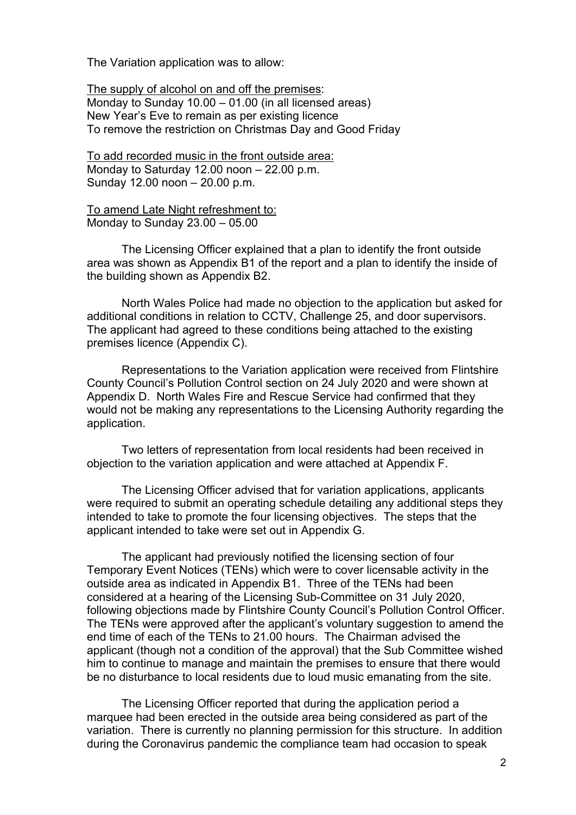The Variation application was to allow:

The supply of alcohol on and off the premises: Monday to Sunday 10.00 – 01.00 (in all licensed areas) New Year's Eve to remain as per existing licence To remove the restriction on Christmas Day and Good Friday

To add recorded music in the front outside area: Monday to Saturday 12.00 noon – 22.00 p.m. Sunday 12.00 noon – 20.00 p.m.

To amend Late Night refreshment to: Monday to Sunday 23.00 – 05.00

The Licensing Officer explained that a plan to identify the front outside area was shown as Appendix B1 of the report and a plan to identify the inside of the building shown as Appendix B2.

North Wales Police had made no objection to the application but asked for additional conditions in relation to CCTV, Challenge 25, and door supervisors. The applicant had agreed to these conditions being attached to the existing premises licence (Appendix C).

Representations to the Variation application were received from Flintshire County Council's Pollution Control section on 24 July 2020 and were shown at Appendix D. North Wales Fire and Rescue Service had confirmed that they would not be making any representations to the Licensing Authority regarding the application.

Two letters of representation from local residents had been received in objection to the variation application and were attached at Appendix F.

The Licensing Officer advised that for variation applications, applicants were required to submit an operating schedule detailing any additional steps they intended to take to promote the four licensing objectives. The steps that the applicant intended to take were set out in Appendix G.

The applicant had previously notified the licensing section of four Temporary Event Notices (TENs) which were to cover licensable activity in the outside area as indicated in Appendix B1. Three of the TENs had been considered at a hearing of the Licensing Sub-Committee on 31 July 2020, following objections made by Flintshire County Council's Pollution Control Officer. The TENs were approved after the applicant's voluntary suggestion to amend the end time of each of the TENs to 21.00 hours. The Chairman advised the applicant (though not a condition of the approval) that the Sub Committee wished him to continue to manage and maintain the premises to ensure that there would be no disturbance to local residents due to loud music emanating from the site.

The Licensing Officer reported that during the application period a marquee had been erected in the outside area being considered as part of the variation. There is currently no planning permission for this structure. In addition during the Coronavirus pandemic the compliance team had occasion to speak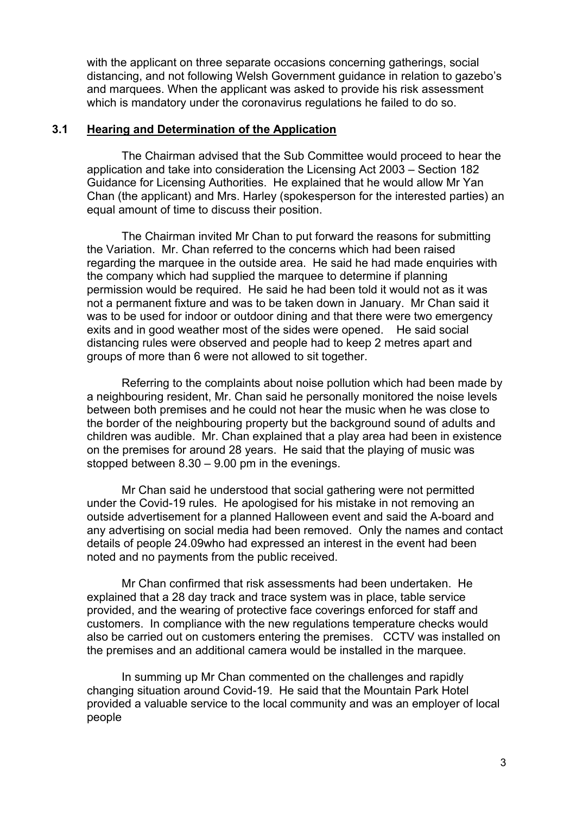with the applicant on three separate occasions concerning gatherings, social distancing, and not following Welsh Government guidance in relation to gazebo's and marquees. When the applicant was asked to provide his risk assessment which is mandatory under the coronavirus regulations he failed to do so.

#### **3.1 Hearing and Determination of the Application**

The Chairman advised that the Sub Committee would proceed to hear the application and take into consideration the Licensing Act 2003 – Section 182 Guidance for Licensing Authorities. He explained that he would allow Mr Yan Chan (the applicant) and Mrs. Harley (spokesperson for the interested parties) an equal amount of time to discuss their position.

The Chairman invited Mr Chan to put forward the reasons for submitting the Variation. Mr. Chan referred to the concerns which had been raised regarding the marquee in the outside area. He said he had made enquiries with the company which had supplied the marquee to determine if planning permission would be required. He said he had been told it would not as it was not a permanent fixture and was to be taken down in January. Mr Chan said it was to be used for indoor or outdoor dining and that there were two emergency exits and in good weather most of the sides were opened. He said social distancing rules were observed and people had to keep 2 metres apart and groups of more than 6 were not allowed to sit together.

Referring to the complaints about noise pollution which had been made by a neighbouring resident, Mr. Chan said he personally monitored the noise levels between both premises and he could not hear the music when he was close to the border of the neighbouring property but the background sound of adults and children was audible. Mr. Chan explained that a play area had been in existence on the premises for around 28 years. He said that the playing of music was stopped between 8.30 – 9.00 pm in the evenings.

Mr Chan said he understood that social gathering were not permitted under the Covid-19 rules. He apologised for his mistake in not removing an outside advertisement for a planned Halloween event and said the A-board and any advertising on social media had been removed. Only the names and contact details of people 24.09who had expressed an interest in the event had been noted and no payments from the public received.

Mr Chan confirmed that risk assessments had been undertaken. He explained that a 28 day track and trace system was in place, table service provided, and the wearing of protective face coverings enforced for staff and customers. In compliance with the new regulations temperature checks would also be carried out on customers entering the premises. CCTV was installed on the premises and an additional camera would be installed in the marquee.

In summing up Mr Chan commented on the challenges and rapidly changing situation around Covid-19. He said that the Mountain Park Hotel provided a valuable service to the local community and was an employer of local people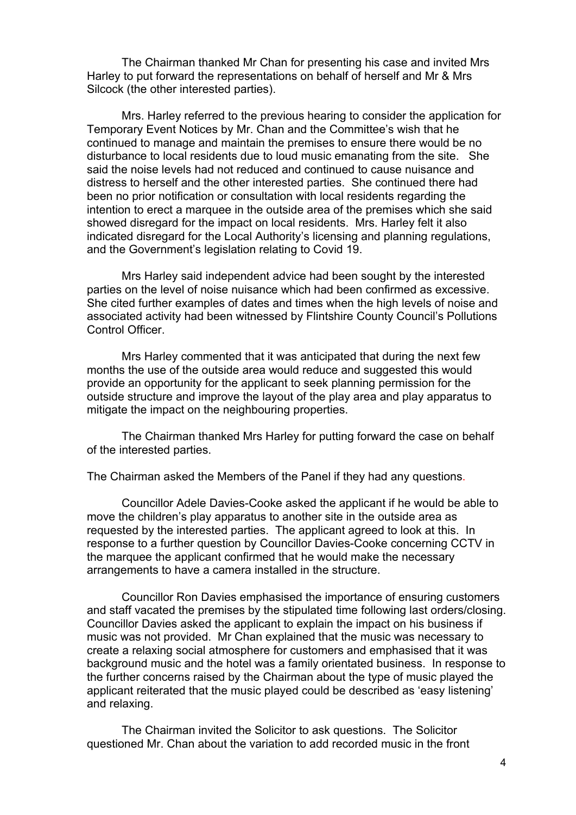The Chairman thanked Mr Chan for presenting his case and invited Mrs Harley to put forward the representations on behalf of herself and Mr & Mrs Silcock (the other interested parties).

Mrs. Harley referred to the previous hearing to consider the application for Temporary Event Notices by Mr. Chan and the Committee's wish that he continued to manage and maintain the premises to ensure there would be no disturbance to local residents due to loud music emanating from the site. She said the noise levels had not reduced and continued to cause nuisance and distress to herself and the other interested parties. She continued there had been no prior notification or consultation with local residents regarding the intention to erect a marquee in the outside area of the premises which she said showed disregard for the impact on local residents. Mrs. Harley felt it also indicated disregard for the Local Authority's licensing and planning regulations, and the Government's legislation relating to Covid 19.

Mrs Harley said independent advice had been sought by the interested parties on the level of noise nuisance which had been confirmed as excessive. She cited further examples of dates and times when the high levels of noise and associated activity had been witnessed by Flintshire County Council's Pollutions Control Officer.

Mrs Harley commented that it was anticipated that during the next few months the use of the outside area would reduce and suggested this would provide an opportunity for the applicant to seek planning permission for the outside structure and improve the layout of the play area and play apparatus to mitigate the impact on the neighbouring properties.

The Chairman thanked Mrs Harley for putting forward the case on behalf of the interested parties.

The Chairman asked the Members of the Panel if they had any questions.

Councillor Adele Davies-Cooke asked the applicant if he would be able to move the children's play apparatus to another site in the outside area as requested by the interested parties. The applicant agreed to look at this. In response to a further question by Councillor Davies-Cooke concerning CCTV in the marquee the applicant confirmed that he would make the necessary arrangements to have a camera installed in the structure.

Councillor Ron Davies emphasised the importance of ensuring customers and staff vacated the premises by the stipulated time following last orders/closing. Councillor Davies asked the applicant to explain the impact on his business if music was not provided. Mr Chan explained that the music was necessary to create a relaxing social atmosphere for customers and emphasised that it was background music and the hotel was a family orientated business. In response to the further concerns raised by the Chairman about the type of music played the applicant reiterated that the music played could be described as 'easy listening' and relaxing.

The Chairman invited the Solicitor to ask questions. The Solicitor questioned Mr. Chan about the variation to add recorded music in the front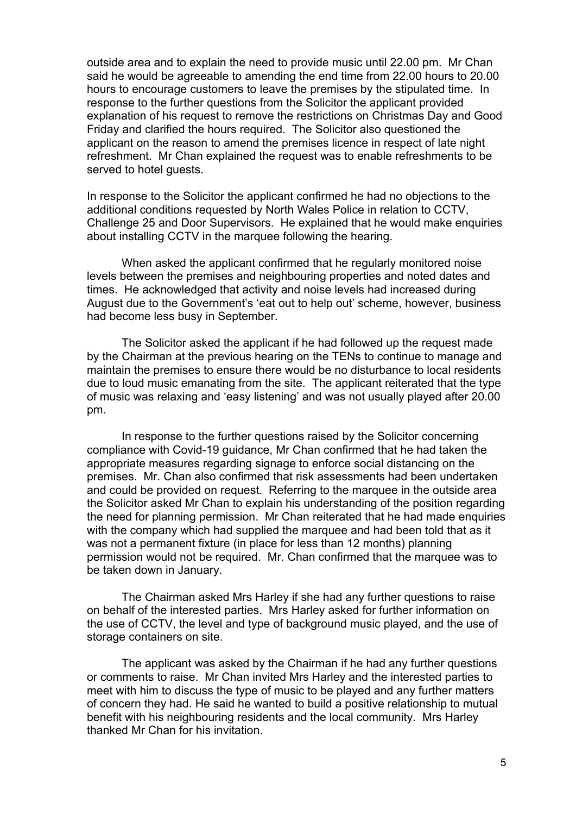outside area and to explain the need to provide music until 22.00 pm. Mr Chan said he would be agreeable to amending the end time from 22.00 hours to 20.00 hours to encourage customers to leave the premises by the stipulated time. In response to the further questions from the Solicitor the applicant provided explanation of his request to remove the restrictions on Christmas Day and Good Friday and clarified the hours required. The Solicitor also questioned the applicant on the reason to amend the premises licence in respect of late night refreshment. Mr Chan explained the request was to enable refreshments to be served to hotel guests.

In response to the Solicitor the applicant confirmed he had no objections to the additional conditions requested by North Wales Police in relation to CCTV, Challenge 25 and Door Supervisors. He explained that he would make enquiries about installing CCTV in the marquee following the hearing.

When asked the applicant confirmed that he regularly monitored noise levels between the premises and neighbouring properties and noted dates and times. He acknowledged that activity and noise levels had increased during August due to the Government's 'eat out to help out' scheme, however, business had become less busy in September.

The Solicitor asked the applicant if he had followed up the request made by the Chairman at the previous hearing on the TENs to continue to manage and maintain the premises to ensure there would be no disturbance to local residents due to loud music emanating from the site. The applicant reiterated that the type of music was relaxing and 'easy listening' and was not usually played after 20.00 pm.

In response to the further questions raised by the Solicitor concerning compliance with Covid-19 guidance, Mr Chan confirmed that he had taken the appropriate measures regarding signage to enforce social distancing on the premises. Mr. Chan also confirmed that risk assessments had been undertaken and could be provided on request. Referring to the marquee in the outside area the Solicitor asked Mr Chan to explain his understanding of the position regarding the need for planning permission. Mr Chan reiterated that he had made enquiries with the company which had supplied the marquee and had been told that as it was not a permanent fixture (in place for less than 12 months) planning permission would not be required. Mr. Chan confirmed that the marquee was to be taken down in January.

The Chairman asked Mrs Harley if she had any further questions to raise on behalf of the interested parties. Mrs Harley asked for further information on the use of CCTV, the level and type of background music played, and the use of storage containers on site.

The applicant was asked by the Chairman if he had any further questions or comments to raise. Mr Chan invited Mrs Harley and the interested parties to meet with him to discuss the type of music to be played and any further matters of concern they had. He said he wanted to build a positive relationship to mutual benefit with his neighbouring residents and the local community. Mrs Harley thanked Mr Chan for his invitation.